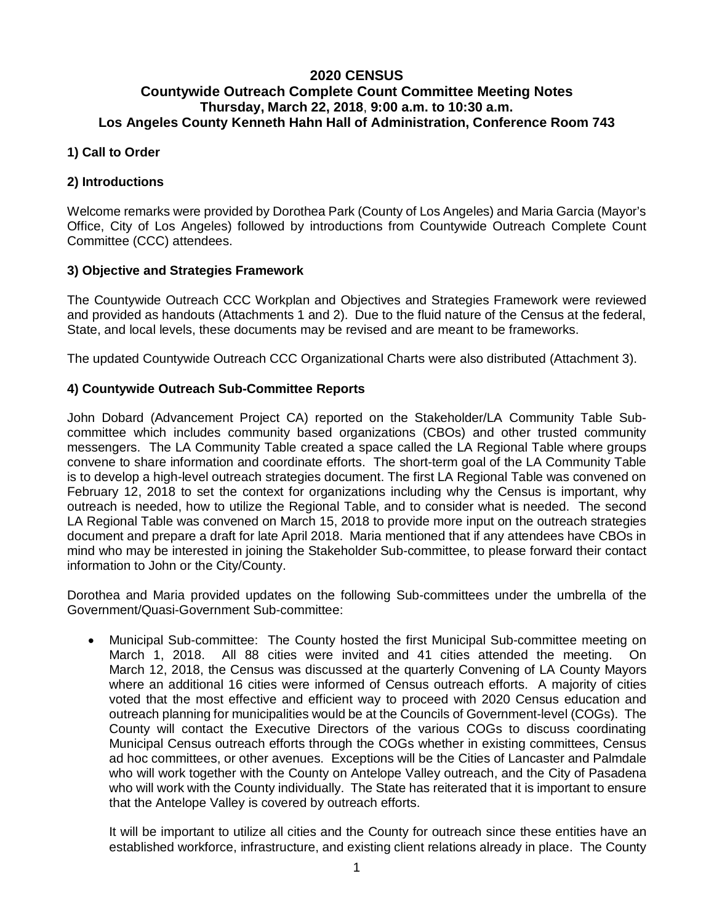# **2020 CENSUS Countywide Outreach Complete Count Committee Meeting Notes Thursday, March 22, 2018**, **9:00 a.m. to 10:30 a.m. Los Angeles County Kenneth Hahn Hall of Administration, Conference Room 743**

### **1) Call to Order**

### **2) Introductions**

Welcome remarks were provided by Dorothea Park (County of Los Angeles) and Maria Garcia (Mayor's Office, City of Los Angeles) followed by introductions from Countywide Outreach Complete Count Committee (CCC) attendees.

### **3) Objective and Strategies Framework**

The Countywide Outreach CCC Workplan and Objectives and Strategies Framework were reviewed and provided as handouts (Attachments 1 and 2). Due to the fluid nature of the Census at the federal, State, and local levels, these documents may be revised and are meant to be frameworks.

The updated Countywide Outreach CCC Organizational Charts were also distributed (Attachment 3).

### **4) Countywide Outreach Sub-Committee Reports**

John Dobard (Advancement Project CA) reported on the Stakeholder/LA Community Table Subcommittee which includes community based organizations (CBOs) and other trusted community messengers. The LA Community Table created a space called the LA Regional Table where groups convene to share information and coordinate efforts. The short-term goal of the LA Community Table is to develop a high-level outreach strategies document. The first LA Regional Table was convened on February 12, 2018 to set the context for organizations including why the Census is important, why outreach is needed, how to utilize the Regional Table, and to consider what is needed. The second LA Regional Table was convened on March 15, 2018 to provide more input on the outreach strategies document and prepare a draft for late April 2018. Maria mentioned that if any attendees have CBOs in mind who may be interested in joining the Stakeholder Sub-committee, to please forward their contact information to John or the City/County.

Dorothea and Maria provided updates on the following Sub-committees under the umbrella of the Government/Quasi-Government Sub-committee:

• Municipal Sub-committee: The County hosted the first Municipal Sub-committee meeting on March 1, 2018. All 88 cities were invited and 41 cities attended the meeting. On March 12, 2018, the Census was discussed at the quarterly Convening of LA County Mayors where an additional 16 cities were informed of Census outreach efforts. A majority of cities voted that the most effective and efficient way to proceed with 2020 Census education and outreach planning for municipalities would be at the Councils of Government-level (COGs). The County will contact the Executive Directors of the various COGs to discuss coordinating Municipal Census outreach efforts through the COGs whether in existing committees, Census ad hoc committees, or other avenues. Exceptions will be the Cities of Lancaster and Palmdale who will work together with the County on Antelope Valley outreach, and the City of Pasadena who will work with the County individually. The State has reiterated that it is important to ensure that the Antelope Valley is covered by outreach efforts.

It will be important to utilize all cities and the County for outreach since these entities have an established workforce, infrastructure, and existing client relations already in place. The County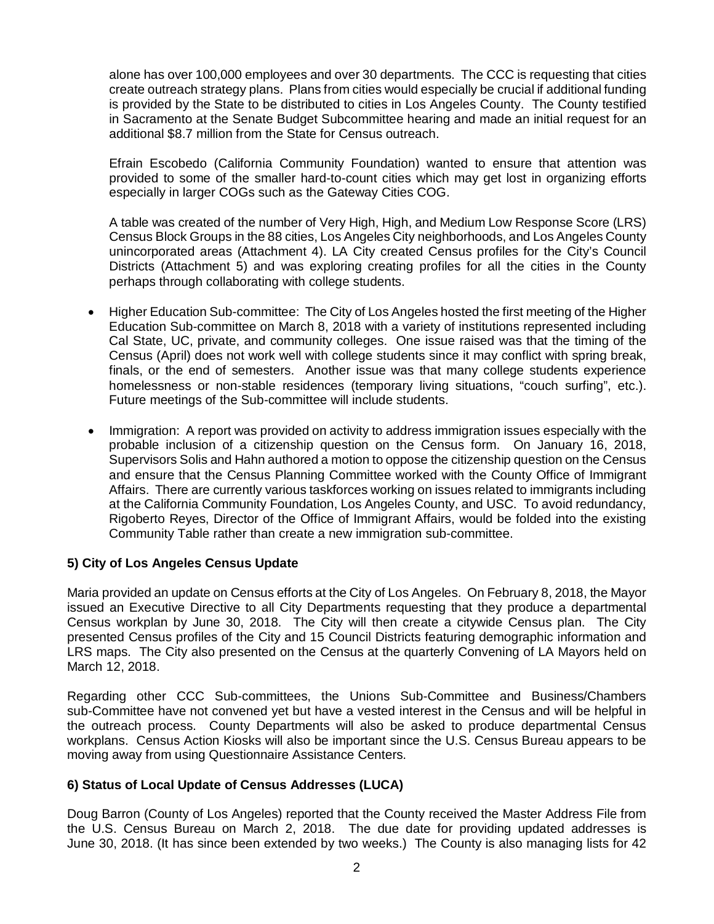alone has over 100,000 employees and over 30 departments. The CCC is requesting that cities create outreach strategy plans. Plans from cities would especially be crucial if additional funding is provided by the State to be distributed to cities in Los Angeles County. The County testified in Sacramento at the Senate Budget Subcommittee hearing and made an initial request for an additional \$8.7 million from the State for Census outreach.

Efrain Escobedo (California Community Foundation) wanted to ensure that attention was provided to some of the smaller hard-to-count cities which may get lost in organizing efforts especially in larger COGs such as the Gateway Cities COG.

A table was created of the number of Very High, High, and Medium Low Response Score (LRS) Census Block Groups in the 88 cities, Los Angeles City neighborhoods, and Los Angeles County unincorporated areas (Attachment 4). LA City created Census profiles for the City's Council Districts (Attachment 5) and was exploring creating profiles for all the cities in the County perhaps through collaborating with college students.

- Higher Education Sub-committee: The City of Los Angeles hosted the first meeting of the Higher Education Sub-committee on March 8, 2018 with a variety of institutions represented including Cal State, UC, private, and community colleges. One issue raised was that the timing of the Census (April) does not work well with college students since it may conflict with spring break, finals, or the end of semesters. Another issue was that many college students experience homelessness or non-stable residences (temporary living situations, "couch surfing", etc.). Future meetings of the Sub-committee will include students.
- Immigration: A report was provided on activity to address immigration issues especially with the probable inclusion of a citizenship question on the Census form. On January 16, 2018, Supervisors Solis and Hahn authored a motion to oppose the citizenship question on the Census and ensure that the Census Planning Committee worked with the County Office of Immigrant Affairs. There are currently various taskforces working on issues related to immigrants including at the California Community Foundation, Los Angeles County, and USC. To avoid redundancy, Rigoberto Reyes, Director of the Office of Immigrant Affairs, would be folded into the existing Community Table rather than create a new immigration sub-committee.

### **5) City of Los Angeles Census Update**

Maria provided an update on Census efforts at the City of Los Angeles. On February 8, 2018, the Mayor issued an Executive Directive to all City Departments requesting that they produce a departmental Census workplan by June 30, 2018. The City will then create a citywide Census plan. The City presented Census profiles of the City and 15 Council Districts featuring demographic information and LRS maps. The City also presented on the Census at the quarterly Convening of LA Mayors held on March 12, 2018.

Regarding other CCC Sub-committees, the Unions Sub-Committee and Business/Chambers sub-Committee have not convened yet but have a vested interest in the Census and will be helpful in the outreach process. County Departments will also be asked to produce departmental Census workplans. Census Action Kiosks will also be important since the U.S. Census Bureau appears to be moving away from using Questionnaire Assistance Centers.

### **6) Status of Local Update of Census Addresses (LUCA)**

Doug Barron (County of Los Angeles) reported that the County received the Master Address File from the U.S. Census Bureau on March 2, 2018. The due date for providing updated addresses is June 30, 2018. (It has since been extended by two weeks.) The County is also managing lists for 42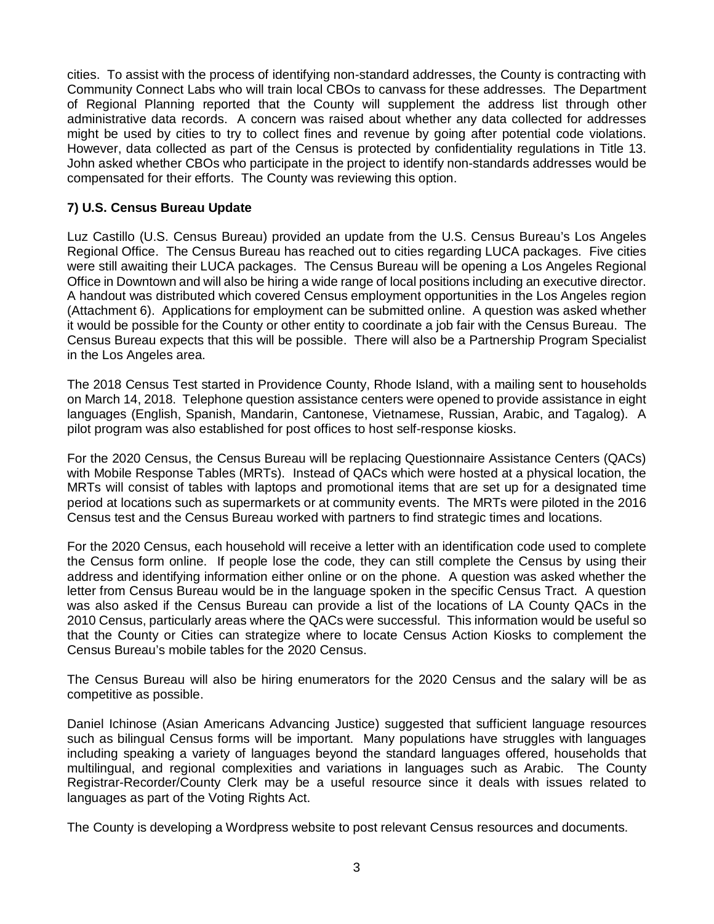cities. To assist with the process of identifying non-standard addresses, the County is contracting with Community Connect Labs who will train local CBOs to canvass for these addresses. The Department of Regional Planning reported that the County will supplement the address list through other administrative data records. A concern was raised about whether any data collected for addresses might be used by cities to try to collect fines and revenue by going after potential code violations. However, data collected as part of the Census is protected by confidentiality regulations in Title 13. John asked whether CBOs who participate in the project to identify non-standards addresses would be compensated for their efforts. The County was reviewing this option.

## **7) U.S. Census Bureau Update**

Luz Castillo (U.S. Census Bureau) provided an update from the U.S. Census Bureau's Los Angeles Regional Office. The Census Bureau has reached out to cities regarding LUCA packages. Five cities were still awaiting their LUCA packages. The Census Bureau will be opening a Los Angeles Regional Office in Downtown and will also be hiring a wide range of local positions including an executive director. A handout was distributed which covered Census employment opportunities in the Los Angeles region (Attachment 6). Applications for employment can be submitted online. A question was asked whether it would be possible for the County or other entity to coordinate a job fair with the Census Bureau. The Census Bureau expects that this will be possible. There will also be a Partnership Program Specialist in the Los Angeles area.

The 2018 Census Test started in Providence County, Rhode Island, with a mailing sent to households on March 14, 2018. Telephone question assistance centers were opened to provide assistance in eight languages (English, Spanish, Mandarin, Cantonese, Vietnamese, Russian, Arabic, and Tagalog). A pilot program was also established for post offices to host self-response kiosks.

For the 2020 Census, the Census Bureau will be replacing Questionnaire Assistance Centers (QACs) with Mobile Response Tables (MRTs). Instead of QACs which were hosted at a physical location, the MRTs will consist of tables with laptops and promotional items that are set up for a designated time period at locations such as supermarkets or at community events. The MRTs were piloted in the 2016 Census test and the Census Bureau worked with partners to find strategic times and locations.

For the 2020 Census, each household will receive a letter with an identification code used to complete the Census form online. If people lose the code, they can still complete the Census by using their address and identifying information either online or on the phone. A question was asked whether the letter from Census Bureau would be in the language spoken in the specific Census Tract. A question was also asked if the Census Bureau can provide a list of the locations of LA County QACs in the 2010 Census, particularly areas where the QACs were successful. This information would be useful so that the County or Cities can strategize where to locate Census Action Kiosks to complement the Census Bureau's mobile tables for the 2020 Census.

The Census Bureau will also be hiring enumerators for the 2020 Census and the salary will be as competitive as possible.

Daniel Ichinose (Asian Americans Advancing Justice) suggested that sufficient language resources such as bilingual Census forms will be important. Many populations have struggles with languages including speaking a variety of languages beyond the standard languages offered, households that multilingual, and regional complexities and variations in languages such as Arabic. The County Registrar-Recorder/County Clerk may be a useful resource since it deals with issues related to languages as part of the Voting Rights Act.

The County is developing a Wordpress website to post relevant Census resources and documents.